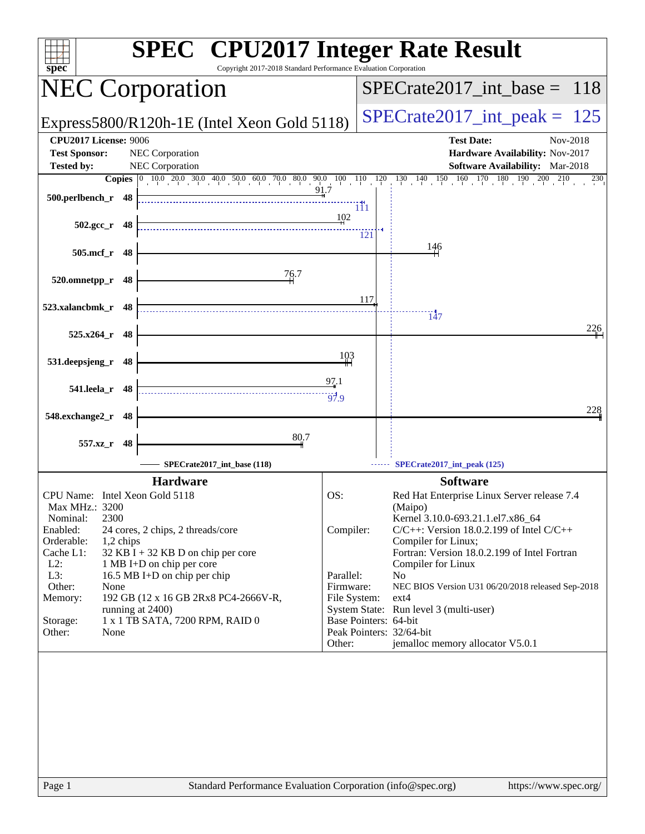| $spec^*$                           | <b>SPEC<sup>®</sup></b> CPU2017 Integer Rate Result<br>Copyright 2017-2018 Standard Performance Evaluation Corporation |                       |     |                                                                                                                                                                                    |
|------------------------------------|------------------------------------------------------------------------------------------------------------------------|-----------------------|-----|------------------------------------------------------------------------------------------------------------------------------------------------------------------------------------|
| <b>NEC Corporation</b>             |                                                                                                                        |                       |     | $SPECrate2017\_int\_base = 118$                                                                                                                                                    |
|                                    | Express5800/R120h-1E (Intel Xeon Gold 5118)                                                                            |                       |     | $SPECrate2017\_int\_peak = 125$                                                                                                                                                    |
| CPU2017 License: 9006              |                                                                                                                        |                       |     | <b>Test Date:</b><br>Nov-2018                                                                                                                                                      |
| <b>Test Sponsor:</b>               | NEC Corporation                                                                                                        |                       |     | Hardware Availability: Nov-2017                                                                                                                                                    |
| <b>Tested by:</b>                  | NEC Corporation                                                                                                        |                       |     | <b>Software Availability:</b> Mar-2018                                                                                                                                             |
| 500.perlbench_r 48                 |                                                                                                                        |                       |     | <b>Copies</b> $\begin{bmatrix} 0 & 10 & 020 & 030 & 40 & 500 & 60 & 70 & 80 & 90 & 10 & 110 & 120 & 130 & 140 & 150 & 160 & 170 & 180 & 190 & 200 & 210 \end{bmatrix}$<br>$^{230}$ |
|                                    |                                                                                                                        | 111<br>102            |     |                                                                                                                                                                                    |
| $502.\text{gcc}$ r<br>- 48         |                                                                                                                        |                       | 121 |                                                                                                                                                                                    |
| 505.mcf_r<br>48                    |                                                                                                                        |                       |     | <u>146</u>                                                                                                                                                                         |
| 520.omnetpp_r<br>48                | 76.7                                                                                                                   |                       |     |                                                                                                                                                                                    |
| 523.xalancbmk_r 48                 |                                                                                                                        |                       | 117 |                                                                                                                                                                                    |
|                                    |                                                                                                                        |                       |     | $\overline{147}$<br>226                                                                                                                                                            |
| 525.x264_r 48                      |                                                                                                                        |                       |     |                                                                                                                                                                                    |
| 531.deepsjeng_r<br>48              |                                                                                                                        | 103                   |     |                                                                                                                                                                                    |
| 541.leela_r<br>48                  |                                                                                                                        | 97.1<br>67.9          |     |                                                                                                                                                                                    |
| 548.exchange2_r<br>48              |                                                                                                                        |                       |     | 228                                                                                                                                                                                |
| 557.xz_r<br>48                     | 80.7                                                                                                                   |                       |     |                                                                                                                                                                                    |
|                                    | SPECrate2017_int_base (118)                                                                                            |                       |     | SPECrate2017_int_peak (125)                                                                                                                                                        |
|                                    | <b>Hardware</b>                                                                                                        |                       |     | <b>Software</b>                                                                                                                                                                    |
| CPU Name: Intel Xeon Gold 5118     |                                                                                                                        | OS:                   |     | Red Hat Enterprise Linux Server release 7.4                                                                                                                                        |
| Max MHz.: 3200<br>2300<br>Nominal: |                                                                                                                        |                       |     | (Maipo)<br>Kernel 3.10.0-693.21.1.el7.x86_64                                                                                                                                       |
| Enabled:                           | 24 cores, 2 chips, 2 threads/core                                                                                      | Compiler:             |     | $C/C++$ : Version 18.0.2.199 of Intel $C/C++$                                                                                                                                      |
| Orderable:<br>1,2 chips            |                                                                                                                        |                       |     | Compiler for Linux;                                                                                                                                                                |
| Cache L1:<br>$L2$ :                | $32$ KB I + 32 KB D on chip per core<br>1 MB I+D on chip per core                                                      |                       |     | Fortran: Version 18.0.2.199 of Intel Fortran<br>Compiler for Linux                                                                                                                 |
| L3:                                | 16.5 MB I+D on chip per chip                                                                                           | Parallel:             |     | N <sub>0</sub>                                                                                                                                                                     |
| Other:<br>None                     |                                                                                                                        | Firmware:             |     | NEC BIOS Version U31 06/20/2018 released Sep-2018                                                                                                                                  |
| Memory:                            | 192 GB (12 x 16 GB 2Rx8 PC4-2666V-R,<br>running at 2400)                                                               | File System:          |     | $ext{4}$<br>System State: Run level 3 (multi-user)                                                                                                                                 |
| Storage:                           | 1 x 1 TB SATA, 7200 RPM, RAID 0                                                                                        | Base Pointers: 64-bit |     |                                                                                                                                                                                    |
| Other:<br>None                     |                                                                                                                        |                       |     | Peak Pointers: 32/64-bit                                                                                                                                                           |
|                                    |                                                                                                                        | Other:                |     | jemalloc memory allocator V5.0.1                                                                                                                                                   |
|                                    |                                                                                                                        |                       |     |                                                                                                                                                                                    |
|                                    |                                                                                                                        |                       |     |                                                                                                                                                                                    |
|                                    |                                                                                                                        |                       |     |                                                                                                                                                                                    |
|                                    |                                                                                                                        |                       |     |                                                                                                                                                                                    |
|                                    |                                                                                                                        |                       |     |                                                                                                                                                                                    |
|                                    |                                                                                                                        |                       |     |                                                                                                                                                                                    |
|                                    |                                                                                                                        |                       |     |                                                                                                                                                                                    |
|                                    |                                                                                                                        |                       |     |                                                                                                                                                                                    |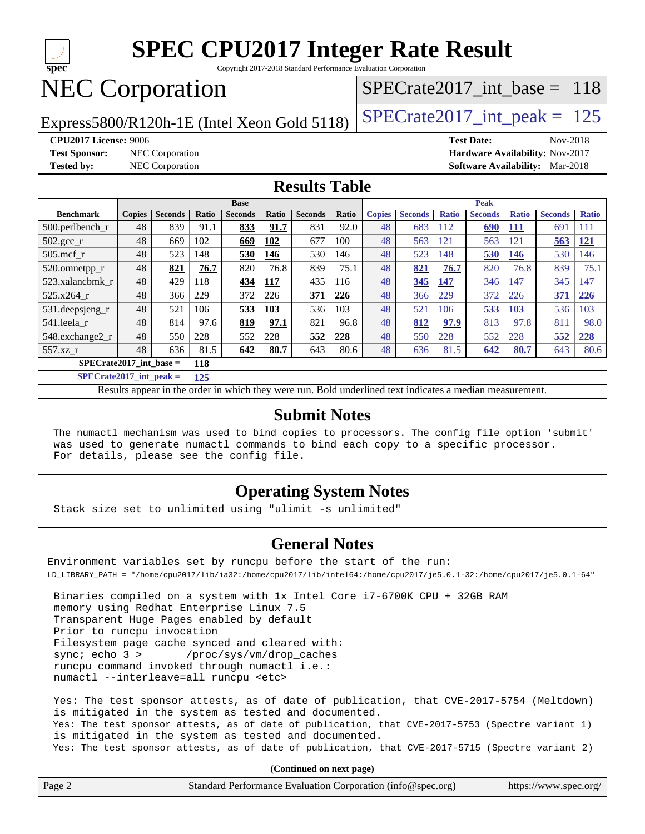

Copyright 2017-2018 Standard Performance Evaluation Corporation

# NEC Corporation

Express5800/R120h-1E (Intel Xeon Gold 5118)  $\left|$  [SPECrate2017\\_int\\_peak =](http://www.spec.org/auto/cpu2017/Docs/result-fields.html#SPECrate2017intpeak) 125

[SPECrate2017\\_int\\_base =](http://www.spec.org/auto/cpu2017/Docs/result-fields.html#SPECrate2017intbase) 118

**[Test Sponsor:](http://www.spec.org/auto/cpu2017/Docs/result-fields.html#TestSponsor)** NEC Corporation **[Hardware Availability:](http://www.spec.org/auto/cpu2017/Docs/result-fields.html#HardwareAvailability)** Nov-2017

**[CPU2017 License:](http://www.spec.org/auto/cpu2017/Docs/result-fields.html#CPU2017License)** 9006 **[Test Date:](http://www.spec.org/auto/cpu2017/Docs/result-fields.html#TestDate)** Nov-2018 **[Tested by:](http://www.spec.org/auto/cpu2017/Docs/result-fields.html#Testedby)** NEC Corporation **[Software Availability:](http://www.spec.org/auto/cpu2017/Docs/result-fields.html#SoftwareAvailability)** Mar-2018

### **[Results Table](http://www.spec.org/auto/cpu2017/Docs/result-fields.html#ResultsTable)**

|                           |               |                |       | <b>Base</b>    |       |                |       | <b>Peak</b>   |                |              |                |              |                |              |
|---------------------------|---------------|----------------|-------|----------------|-------|----------------|-------|---------------|----------------|--------------|----------------|--------------|----------------|--------------|
| <b>Benchmark</b>          | <b>Copies</b> | <b>Seconds</b> | Ratio | <b>Seconds</b> | Ratio | <b>Seconds</b> | Ratio | <b>Copies</b> | <b>Seconds</b> | <b>Ratio</b> | <b>Seconds</b> | <b>Ratio</b> | <b>Seconds</b> | <b>Ratio</b> |
| $500.$ perlbench_r        | 48            | 839            | 91.1  | 833            | 91.7  | 831            | 92.0  | 48            | 683            | 112          | 690            | 111          | 691            | 111          |
| $502.\text{gcc}_{r}$      | 48            | 669            | 102   | 669            | 102   | 677            | 100   | 48            | 563            | 121          | 563            | 121          | 563            | <b>121</b>   |
| $505$ .mcf r              | 48            | 523            | 148   | 530            | 146   | 530            | 146   | 48            | 523            | 148          | 530            | 146          | 530            | 146          |
| 520.omnetpp_r             | 48            | 821            | 76.7  | 820            | 76.8  | 839            | 75.1  | 48            | 821            | 76.7         | 820            | 76.8         | 839            | 75.1         |
| 523.xalancbmk r           | 48            | 429            | 118   | 434            | 117   | 435            | 116   | 48            | 345            | 147          | 346            | 147          | 345            | 147          |
| 525.x264 r                | 48            | 366            | 229   | 372            | 226   | 371            | 226   | 48            | 366            | 229          | 372            | 226          | 371            | 226          |
| 531.deepsjeng_r           | 48            | 521            | 106   | 533            | 103   | 536            | 103   | 48            | 521            | 106          | 533            | <b>103</b>   | 536            | 103          |
| 541.leela r               | 48            | 814            | 97.6  | 819            | 97.1  | 821            | 96.8  | 48            | 812            | 97.9         | 813            | 97.8         | 811            | 98.0         |
| 548.exchange2 r           | 48            | 550            | 228   | 552            | 228   | 552            | 228   | 48            | 550            | 228          | 552            | 228          | 552            | 228          |
| 557.xz r                  | 48            | 636            | 81.5  | 642            | 80.7  | 643            | 80.6  | 48            | 636            | 81.5         | 642            | 80.7         | 643            | 80.6         |
| $SPECrate2017$ int base = |               |                | 118   |                |       |                |       |               |                |              |                |              |                |              |

**[SPECrate2017\\_int\\_peak =](http://www.spec.org/auto/cpu2017/Docs/result-fields.html#SPECrate2017intpeak) 125**

Results appear in the [order in which they were run.](http://www.spec.org/auto/cpu2017/Docs/result-fields.html#RunOrder) Bold underlined text [indicates a median measurement.](http://www.spec.org/auto/cpu2017/Docs/result-fields.html#Median)

### **[Submit Notes](http://www.spec.org/auto/cpu2017/Docs/result-fields.html#SubmitNotes)**

 The numactl mechanism was used to bind copies to processors. The config file option 'submit' was used to generate numactl commands to bind each copy to a specific processor. For details, please see the config file.

### **[Operating System Notes](http://www.spec.org/auto/cpu2017/Docs/result-fields.html#OperatingSystemNotes)**

Stack size set to unlimited using "ulimit -s unlimited"

### **[General Notes](http://www.spec.org/auto/cpu2017/Docs/result-fields.html#GeneralNotes)**

Environment variables set by runcpu before the start of the run: LD\_LIBRARY\_PATH = "/home/cpu2017/lib/ia32:/home/cpu2017/lib/intel64:/home/cpu2017/je5.0.1-32:/home/cpu2017/je5.0.1-64"

 Binaries compiled on a system with 1x Intel Core i7-6700K CPU + 32GB RAM memory using Redhat Enterprise Linux 7.5 Transparent Huge Pages enabled by default Prior to runcpu invocation Filesystem page cache synced and cleared with: sync; echo 3 > /proc/sys/vm/drop\_caches runcpu command invoked through numactl i.e.: numactl --interleave=all runcpu <etc>

 Yes: The test sponsor attests, as of date of publication, that CVE-2017-5754 (Meltdown) is mitigated in the system as tested and documented. Yes: The test sponsor attests, as of date of publication, that CVE-2017-5753 (Spectre variant 1) is mitigated in the system as tested and documented. Yes: The test sponsor attests, as of date of publication, that CVE-2017-5715 (Spectre variant 2)

**(Continued on next page)**

| Page | Standard Performance Evaluation Corporation (info@spec.org) | https://www.spec.org/ |
|------|-------------------------------------------------------------|-----------------------|
|------|-------------------------------------------------------------|-----------------------|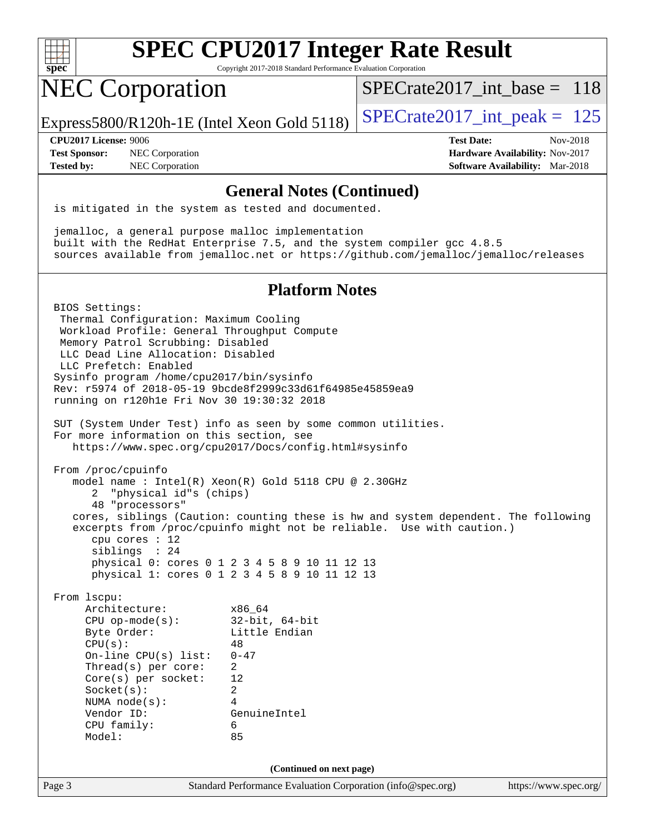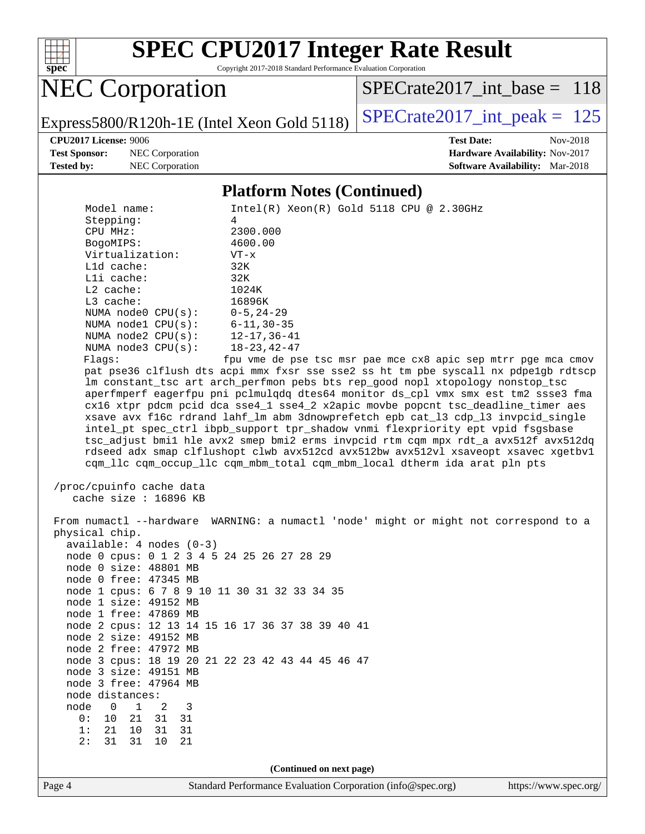

Copyright 2017-2018 Standard Performance Evaluation Corporation

NEC Corporation

[SPECrate2017\\_int\\_base =](http://www.spec.org/auto/cpu2017/Docs/result-fields.html#SPECrate2017intbase) 118

Express5800/R120h-1E (Intel Xeon Gold 5118)  $\left|$  [SPECrate2017\\_int\\_peak =](http://www.spec.org/auto/cpu2017/Docs/result-fields.html#SPECrate2017intpeak) 125

**[Test Sponsor:](http://www.spec.org/auto/cpu2017/Docs/result-fields.html#TestSponsor)** NEC Corporation **[Hardware Availability:](http://www.spec.org/auto/cpu2017/Docs/result-fields.html#HardwareAvailability)** Nov-2017

**[CPU2017 License:](http://www.spec.org/auto/cpu2017/Docs/result-fields.html#CPU2017License)** 9006 **[Test Date:](http://www.spec.org/auto/cpu2017/Docs/result-fields.html#TestDate)** Nov-2018 **[Tested by:](http://www.spec.org/auto/cpu2017/Docs/result-fields.html#Testedby)** NEC Corporation **[Software Availability:](http://www.spec.org/auto/cpu2017/Docs/result-fields.html#SoftwareAvailability)** Mar-2018

### **[Platform Notes \(Continued\)](http://www.spec.org/auto/cpu2017/Docs/result-fields.html#PlatformNotes)**

| node distances:<br>node<br>0<br>1<br>3<br>2<br>$10$<br>0:<br>21<br>31<br>31<br>1:<br>21<br>10<br>31<br>31<br>2:<br>31<br>31<br>10<br>21 | (Continued on next page)                                                                                                                                                                                                                                                                                                                                                                                                                                                                                                                                                                                                                                                                                                                                                                                                                                                                                                          |
|-----------------------------------------------------------------------------------------------------------------------------------------|-----------------------------------------------------------------------------------------------------------------------------------------------------------------------------------------------------------------------------------------------------------------------------------------------------------------------------------------------------------------------------------------------------------------------------------------------------------------------------------------------------------------------------------------------------------------------------------------------------------------------------------------------------------------------------------------------------------------------------------------------------------------------------------------------------------------------------------------------------------------------------------------------------------------------------------|
|                                                                                                                                         |                                                                                                                                                                                                                                                                                                                                                                                                                                                                                                                                                                                                                                                                                                                                                                                                                                                                                                                                   |
|                                                                                                                                         |                                                                                                                                                                                                                                                                                                                                                                                                                                                                                                                                                                                                                                                                                                                                                                                                                                                                                                                                   |
|                                                                                                                                         |                                                                                                                                                                                                                                                                                                                                                                                                                                                                                                                                                                                                                                                                                                                                                                                                                                                                                                                                   |
|                                                                                                                                         |                                                                                                                                                                                                                                                                                                                                                                                                                                                                                                                                                                                                                                                                                                                                                                                                                                                                                                                                   |
|                                                                                                                                         |                                                                                                                                                                                                                                                                                                                                                                                                                                                                                                                                                                                                                                                                                                                                                                                                                                                                                                                                   |
| node 3 free: 47964 MB                                                                                                                   |                                                                                                                                                                                                                                                                                                                                                                                                                                                                                                                                                                                                                                                                                                                                                                                                                                                                                                                                   |
| node 3 size: 49151 MB                                                                                                                   |                                                                                                                                                                                                                                                                                                                                                                                                                                                                                                                                                                                                                                                                                                                                                                                                                                                                                                                                   |
|                                                                                                                                         | node 3 cpus: 18 19 20 21 22 23 42 43 44 45 46 47                                                                                                                                                                                                                                                                                                                                                                                                                                                                                                                                                                                                                                                                                                                                                                                                                                                                                  |
| node 2 free: 47972 MB                                                                                                                   |                                                                                                                                                                                                                                                                                                                                                                                                                                                                                                                                                                                                                                                                                                                                                                                                                                                                                                                                   |
| node 2 size: 49152 MB                                                                                                                   |                                                                                                                                                                                                                                                                                                                                                                                                                                                                                                                                                                                                                                                                                                                                                                                                                                                                                                                                   |
|                                                                                                                                         | node 2 cpus: 12 13 14 15 16 17 36 37 38 39 40 41                                                                                                                                                                                                                                                                                                                                                                                                                                                                                                                                                                                                                                                                                                                                                                                                                                                                                  |
| node 1 free: 47869 MB                                                                                                                   |                                                                                                                                                                                                                                                                                                                                                                                                                                                                                                                                                                                                                                                                                                                                                                                                                                                                                                                                   |
| node 1 size: 49152 MB                                                                                                                   |                                                                                                                                                                                                                                                                                                                                                                                                                                                                                                                                                                                                                                                                                                                                                                                                                                                                                                                                   |
| node 1 cpus: 6 7 8 9 10 11 30 31 32 33 34 35                                                                                            |                                                                                                                                                                                                                                                                                                                                                                                                                                                                                                                                                                                                                                                                                                                                                                                                                                                                                                                                   |
| node 0 free: 47345 MB                                                                                                                   |                                                                                                                                                                                                                                                                                                                                                                                                                                                                                                                                                                                                                                                                                                                                                                                                                                                                                                                                   |
| node 0 size: 48801 MB                                                                                                                   |                                                                                                                                                                                                                                                                                                                                                                                                                                                                                                                                                                                                                                                                                                                                                                                                                                                                                                                                   |
| node 0 cpus: 0 1 2 3 4 5 24 25 26 27 28 29                                                                                              |                                                                                                                                                                                                                                                                                                                                                                                                                                                                                                                                                                                                                                                                                                                                                                                                                                                                                                                                   |
| $available: 4 nodes (0-3)$                                                                                                              |                                                                                                                                                                                                                                                                                                                                                                                                                                                                                                                                                                                                                                                                                                                                                                                                                                                                                                                                   |
| physical chip.                                                                                                                          | From numactl --hardware WARNING: a numactl 'node' might or might not correspond to a                                                                                                                                                                                                                                                                                                                                                                                                                                                                                                                                                                                                                                                                                                                                                                                                                                              |
|                                                                                                                                         |                                                                                                                                                                                                                                                                                                                                                                                                                                                                                                                                                                                                                                                                                                                                                                                                                                                                                                                                   |
| /proc/cpuinfo cache data<br>cache size : 16896 KB                                                                                       |                                                                                                                                                                                                                                                                                                                                                                                                                                                                                                                                                                                                                                                                                                                                                                                                                                                                                                                                   |
| NUMA node0 CPU(s):<br>NUMA nodel CPU(s):<br>NUMA $node2$ $CPU(s)$ :<br>NUMA $node3$ $CPU(s)$ :<br>Flaqs:                                | $0 - 5$ , 24-29<br>$6 - 11, 30 - 35$<br>$12 - 17, 36 - 41$<br>$18 - 23, 42 - 47$<br>fpu vme de pse tsc msr pae mce cx8 apic sep mtrr pge mca cmov<br>pat pse36 clflush dts acpi mmx fxsr sse sse2 ss ht tm pbe syscall nx pdpelgb rdtscp<br>lm constant_tsc art arch_perfmon pebs bts rep_good nopl xtopology nonstop_tsc<br>aperfmperf eagerfpu pni pclmulqdq dtes64 monitor ds_cpl vmx smx est tm2 ssse3 fma<br>cx16 xtpr pdcm pcid dca sse4_1 sse4_2 x2apic movbe popcnt tsc_deadline_timer aes<br>xsave avx f16c rdrand lahf_lm abm 3dnowprefetch epb cat_13 cdp_13 invpcid_single<br>intel_pt spec_ctrl ibpb_support tpr_shadow vnmi flexpriority ept vpid fsgsbase<br>tsc_adjust bmil hle avx2 smep bmi2 erms invpcid rtm cqm mpx rdt_a avx512f avx512dq<br>rdseed adx smap clflushopt clwb avx512cd avx512bw avx512vl xsaveopt xsavec xgetbvl<br>cqm_llc cqm_occup_llc cqm_mbm_total cqm_mbm_local dtherm ida arat pln pts |
| L3 cache:                                                                                                                               | 16896K                                                                                                                                                                                                                                                                                                                                                                                                                                                                                                                                                                                                                                                                                                                                                                                                                                                                                                                            |
| L2 cache:                                                                                                                               | 1024K                                                                                                                                                                                                                                                                                                                                                                                                                                                                                                                                                                                                                                                                                                                                                                                                                                                                                                                             |
| Lli cache:                                                                                                                              | 32K                                                                                                                                                                                                                                                                                                                                                                                                                                                                                                                                                                                                                                                                                                                                                                                                                                                                                                                               |
| L1d cache:                                                                                                                              | 32K                                                                                                                                                                                                                                                                                                                                                                                                                                                                                                                                                                                                                                                                                                                                                                                                                                                                                                                               |
| Virtualization:                                                                                                                         | $VT - x$                                                                                                                                                                                                                                                                                                                                                                                                                                                                                                                                                                                                                                                                                                                                                                                                                                                                                                                          |
| BogoMIPS:                                                                                                                               | 4600.00                                                                                                                                                                                                                                                                                                                                                                                                                                                                                                                                                                                                                                                                                                                                                                                                                                                                                                                           |
| CPU MHz:                                                                                                                                | 2300.000                                                                                                                                                                                                                                                                                                                                                                                                                                                                                                                                                                                                                                                                                                                                                                                                                                                                                                                          |
|                                                                                                                                         |                                                                                                                                                                                                                                                                                                                                                                                                                                                                                                                                                                                                                                                                                                                                                                                                                                                                                                                                   |
| Model name:<br>Stepping:                                                                                                                | $Intel(R)$ Xeon $(R)$ Gold 5118 CPU @ 2.30GHz<br>4                                                                                                                                                                                                                                                                                                                                                                                                                                                                                                                                                                                                                                                                                                                                                                                                                                                                                |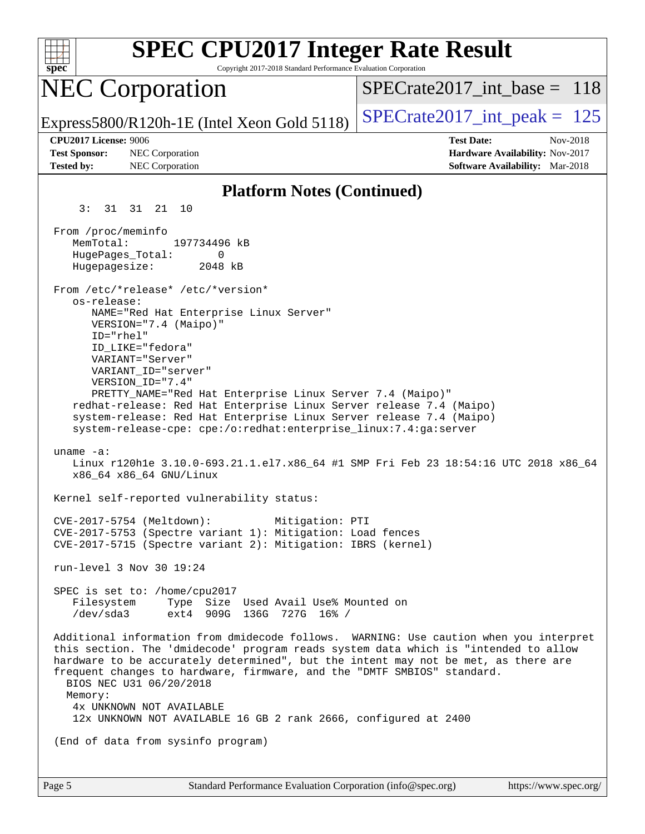| <b>SPEC CPU2017 Integer Rate Result</b><br>Copyright 2017-2018 Standard Performance Evaluation Corporation<br>$spec^*$                                                                                                                                                                                                                                                                                                                                                                              |                                                                                                            |
|-----------------------------------------------------------------------------------------------------------------------------------------------------------------------------------------------------------------------------------------------------------------------------------------------------------------------------------------------------------------------------------------------------------------------------------------------------------------------------------------------------|------------------------------------------------------------------------------------------------------------|
| <b>NEC Corporation</b>                                                                                                                                                                                                                                                                                                                                                                                                                                                                              | $SPECrate2017$ int base = 118                                                                              |
| Express5800/R120h-1E (Intel Xeon Gold 5118)                                                                                                                                                                                                                                                                                                                                                                                                                                                         | $SPECTate2017\_int\_peak = 125$                                                                            |
| CPU2017 License: 9006<br><b>Test Sponsor:</b><br>NEC Corporation<br>NEC Corporation<br><b>Tested by:</b>                                                                                                                                                                                                                                                                                                                                                                                            | <b>Test Date:</b><br>Nov-2018<br>Hardware Availability: Nov-2017<br><b>Software Availability:</b> Mar-2018 |
| <b>Platform Notes (Continued)</b>                                                                                                                                                                                                                                                                                                                                                                                                                                                                   |                                                                                                            |
| 31 31 21 10<br>3 :                                                                                                                                                                                                                                                                                                                                                                                                                                                                                  |                                                                                                            |
| From /proc/meminfo<br>MemTotal:<br>197734496 kB<br>HugePages_Total:<br>0<br>Hugepagesize:<br>2048 kB                                                                                                                                                                                                                                                                                                                                                                                                |                                                                                                            |
| From /etc/*release* /etc/*version*<br>os-release:<br>NAME="Red Hat Enterprise Linux Server"<br>VERSION="7.4 (Maipo)"<br>ID="rhel"<br>ID LIKE="fedora"<br>VARIANT="Server"<br>VARIANT ID="server"<br>VERSION_ID="7.4"<br>PRETTY_NAME="Red Hat Enterprise Linux Server 7.4 (Maipo)"<br>redhat-release: Red Hat Enterprise Linux Server release 7.4 (Maipo)<br>system-release: Red Hat Enterprise Linux Server release 7.4 (Maipo)<br>system-release-cpe: cpe:/o:redhat:enterprise_linux:7.4:ga:server |                                                                                                            |
| uname $-a$ :<br>Linux r120hle 3.10.0-693.21.1.el7.x86_64 #1 SMP Fri Feb 23 18:54:16 UTC 2018 x86_64<br>x86_64 x86_64 GNU/Linux                                                                                                                                                                                                                                                                                                                                                                      |                                                                                                            |
| Kernel self-reported vulnerability status:                                                                                                                                                                                                                                                                                                                                                                                                                                                          |                                                                                                            |
| CVE-2017-5754 (Meltdown):<br>Mitigation: PTI<br>CVE-2017-5753 (Spectre variant 1): Mitigation: Load fences<br>CVE-2017-5715 (Spectre variant 2): Mitigation: IBRS (kernel)                                                                                                                                                                                                                                                                                                                          |                                                                                                            |
| run-level 3 Nov 30 19:24                                                                                                                                                                                                                                                                                                                                                                                                                                                                            |                                                                                                            |
| SPEC is set to: /home/cpu2017<br>Filesystem Type Size Used Avail Use% Mounted on<br>$\frac{1}{\text{dev/sda3}}$ ext4 909G 136G 727G 16% /                                                                                                                                                                                                                                                                                                                                                           |                                                                                                            |
| Additional information from dmidecode follows. WARNING: Use caution when you interpret<br>this section. The 'dmidecode' program reads system data which is "intended to allow<br>hardware to be accurately determined", but the intent may not be met, as there are<br>frequent changes to hardware, firmware, and the "DMTF SMBIOS" standard.<br>BIOS NEC U31 06/20/2018<br>Memory:<br>4x UNKNOWN NOT AVAILABLE                                                                                    |                                                                                                            |
| 12x UNKNOWN NOT AVAILABLE 16 GB 2 rank 2666, configured at 2400                                                                                                                                                                                                                                                                                                                                                                                                                                     |                                                                                                            |
| (End of data from sysinfo program)                                                                                                                                                                                                                                                                                                                                                                                                                                                                  |                                                                                                            |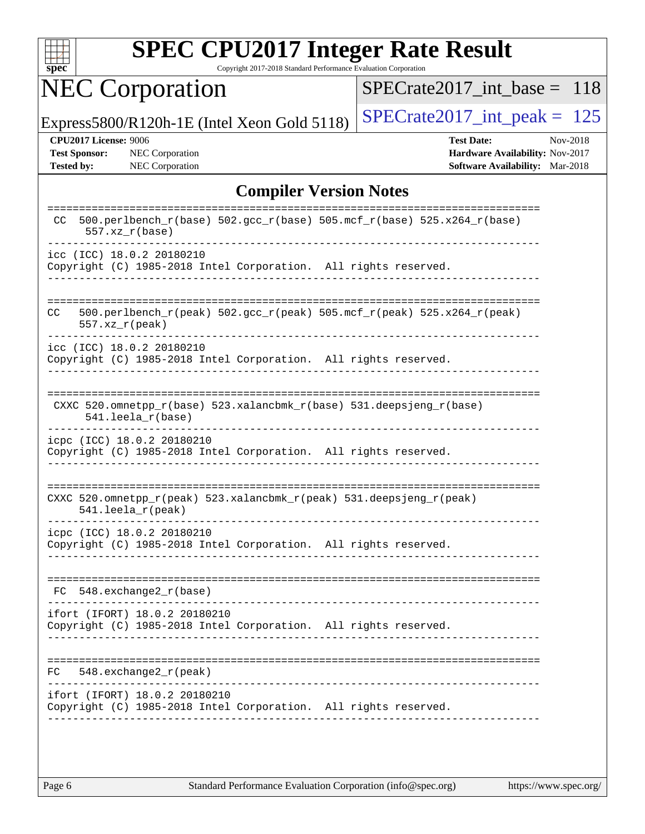

Copyright 2017-2018 Standard Performance Evaluation Corporation

# NEC Corporation

[SPECrate2017\\_int\\_base =](http://www.spec.org/auto/cpu2017/Docs/result-fields.html#SPECrate2017intbase) 118

Express5800/R120h-1E (Intel Xeon Gold 5118)  $\left|$  [SPECrate2017\\_int\\_peak =](http://www.spec.org/auto/cpu2017/Docs/result-fields.html#SPECrate2017intpeak) 125

**[Test Sponsor:](http://www.spec.org/auto/cpu2017/Docs/result-fields.html#TestSponsor)** NEC Corporation **[Hardware Availability:](http://www.spec.org/auto/cpu2017/Docs/result-fields.html#HardwareAvailability)** Nov-2017

**[CPU2017 License:](http://www.spec.org/auto/cpu2017/Docs/result-fields.html#CPU2017License)** 9006 **[Test Date:](http://www.spec.org/auto/cpu2017/Docs/result-fields.html#TestDate)** Nov-2018 **[Tested by:](http://www.spec.org/auto/cpu2017/Docs/result-fields.html#Testedby)** NEC Corporation **[Software Availability:](http://www.spec.org/auto/cpu2017/Docs/result-fields.html#SoftwareAvailability)** Mar-2018

### **[Compiler Version Notes](http://www.spec.org/auto/cpu2017/Docs/result-fields.html#CompilerVersionNotes)**

| ============<br>----------<br>----------<br>500.perlbench_r(base) 502.gcc_r(base) 505.mcf_r(base) 525.x264_r(base)<br>CC.<br>$557.xx$ $r(base)$ |
|-------------------------------------------------------------------------------------------------------------------------------------------------|
| icc (ICC) 18.0.2 20180210<br>Copyright (C) 1985-2018 Intel Corporation. All rights reserved.                                                    |
| 500.perlbench_r(peak) 502.gcc_r(peak) 505.mcf_r(peak) 525.x264_r(peak)<br>CC<br>$557. xz_r (peak)$                                              |
| icc (ICC) 18.0.2 20180210<br>Copyright (C) 1985-2018 Intel Corporation. All rights reserved.                                                    |
| CXXC $520.\text{omnetpp_r(base)}$ $523.\text{xalancbmk_r(base)}$ $531.\text{deepsjeng_r(base)}$<br>541.leela r(base)                            |
| icpc (ICC) 18.0.2 20180210<br>Copyright (C) 1985-2018 Intel Corporation. All rights reserved.                                                   |
| CXXC 520.omnetpp_r(peak) 523.xalancbmk_r(peak) 531.deepsjeng_r(peak)<br>$541.$ leela_r(peak)                                                    |
| icpc (ICC) 18.0.2 20180210<br>Copyright (C) 1985-2018 Intel Corporation. All rights reserved.                                                   |
| $548$ . exchange2 $r(base)$<br>FC                                                                                                               |
| ifort (IFORT) 18.0.2 20180210<br>Copyright (C) 1985-2018 Intel Corporation. All rights reserved.                                                |
| $548$ . exchange2 $r$ (peak)<br>FC.                                                                                                             |
| ifort (IFORT) 18.0.2 20180210<br>Copyright (C) 1985-2018 Intel Corporation. All rights reserved.                                                |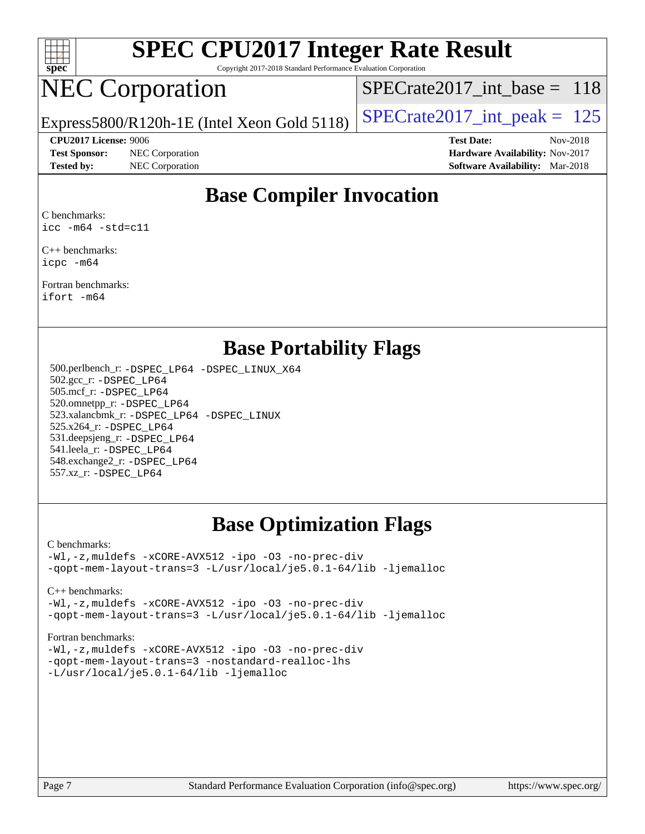

Copyright 2017-2018 Standard Performance Evaluation Corporation

## NEC Corporation

[SPECrate2017\\_int\\_base =](http://www.spec.org/auto/cpu2017/Docs/result-fields.html#SPECrate2017intbase) 118

**[Test Sponsor:](http://www.spec.org/auto/cpu2017/Docs/result-fields.html#TestSponsor)** NEC Corporation **[Hardware Availability:](http://www.spec.org/auto/cpu2017/Docs/result-fields.html#HardwareAvailability)** Nov-2017 **[Tested by:](http://www.spec.org/auto/cpu2017/Docs/result-fields.html#Testedby)** NEC Corporation **[Software Availability:](http://www.spec.org/auto/cpu2017/Docs/result-fields.html#SoftwareAvailability)** Mar-2018

Express5800/R120h-1E (Intel Xeon Gold 5118)  $\left|$  [SPECrate2017\\_int\\_peak =](http://www.spec.org/auto/cpu2017/Docs/result-fields.html#SPECrate2017intpeak) 125

**[CPU2017 License:](http://www.spec.org/auto/cpu2017/Docs/result-fields.html#CPU2017License)** 9006 **[Test Date:](http://www.spec.org/auto/cpu2017/Docs/result-fields.html#TestDate)** Nov-2018

## **[Base Compiler Invocation](http://www.spec.org/auto/cpu2017/Docs/result-fields.html#BaseCompilerInvocation)**

[C benchmarks](http://www.spec.org/auto/cpu2017/Docs/result-fields.html#Cbenchmarks): [icc -m64 -std=c11](http://www.spec.org/cpu2017/results/res2018q4/cpu2017-20181210-10051.flags.html#user_CCbase_intel_icc_64bit_c11_33ee0cdaae7deeeab2a9725423ba97205ce30f63b9926c2519791662299b76a0318f32ddfffdc46587804de3178b4f9328c46fa7c2b0cd779d7a61945c91cd35)

[C++ benchmarks:](http://www.spec.org/auto/cpu2017/Docs/result-fields.html#CXXbenchmarks) [icpc -m64](http://www.spec.org/cpu2017/results/res2018q4/cpu2017-20181210-10051.flags.html#user_CXXbase_intel_icpc_64bit_4ecb2543ae3f1412ef961e0650ca070fec7b7afdcd6ed48761b84423119d1bf6bdf5cad15b44d48e7256388bc77273b966e5eb805aefd121eb22e9299b2ec9d9)

[Fortran benchmarks](http://www.spec.org/auto/cpu2017/Docs/result-fields.html#Fortranbenchmarks): [ifort -m64](http://www.spec.org/cpu2017/results/res2018q4/cpu2017-20181210-10051.flags.html#user_FCbase_intel_ifort_64bit_24f2bb282fbaeffd6157abe4f878425411749daecae9a33200eee2bee2fe76f3b89351d69a8130dd5949958ce389cf37ff59a95e7a40d588e8d3a57e0c3fd751)

## **[Base Portability Flags](http://www.spec.org/auto/cpu2017/Docs/result-fields.html#BasePortabilityFlags)**

 500.perlbench\_r: [-DSPEC\\_LP64](http://www.spec.org/cpu2017/results/res2018q4/cpu2017-20181210-10051.flags.html#b500.perlbench_r_basePORTABILITY_DSPEC_LP64) [-DSPEC\\_LINUX\\_X64](http://www.spec.org/cpu2017/results/res2018q4/cpu2017-20181210-10051.flags.html#b500.perlbench_r_baseCPORTABILITY_DSPEC_LINUX_X64) 502.gcc\_r: [-DSPEC\\_LP64](http://www.spec.org/cpu2017/results/res2018q4/cpu2017-20181210-10051.flags.html#suite_basePORTABILITY502_gcc_r_DSPEC_LP64) 505.mcf\_r: [-DSPEC\\_LP64](http://www.spec.org/cpu2017/results/res2018q4/cpu2017-20181210-10051.flags.html#suite_basePORTABILITY505_mcf_r_DSPEC_LP64) 520.omnetpp\_r: [-DSPEC\\_LP64](http://www.spec.org/cpu2017/results/res2018q4/cpu2017-20181210-10051.flags.html#suite_basePORTABILITY520_omnetpp_r_DSPEC_LP64) 523.xalancbmk\_r: [-DSPEC\\_LP64](http://www.spec.org/cpu2017/results/res2018q4/cpu2017-20181210-10051.flags.html#suite_basePORTABILITY523_xalancbmk_r_DSPEC_LP64) [-DSPEC\\_LINUX](http://www.spec.org/cpu2017/results/res2018q4/cpu2017-20181210-10051.flags.html#b523.xalancbmk_r_baseCXXPORTABILITY_DSPEC_LINUX) 525.x264\_r: [-DSPEC\\_LP64](http://www.spec.org/cpu2017/results/res2018q4/cpu2017-20181210-10051.flags.html#suite_basePORTABILITY525_x264_r_DSPEC_LP64) 531.deepsjeng\_r: [-DSPEC\\_LP64](http://www.spec.org/cpu2017/results/res2018q4/cpu2017-20181210-10051.flags.html#suite_basePORTABILITY531_deepsjeng_r_DSPEC_LP64) 541.leela\_r: [-DSPEC\\_LP64](http://www.spec.org/cpu2017/results/res2018q4/cpu2017-20181210-10051.flags.html#suite_basePORTABILITY541_leela_r_DSPEC_LP64) 548.exchange2\_r: [-DSPEC\\_LP64](http://www.spec.org/cpu2017/results/res2018q4/cpu2017-20181210-10051.flags.html#suite_basePORTABILITY548_exchange2_r_DSPEC_LP64) 557.xz\_r: [-DSPEC\\_LP64](http://www.spec.org/cpu2017/results/res2018q4/cpu2017-20181210-10051.flags.html#suite_basePORTABILITY557_xz_r_DSPEC_LP64)

## **[Base Optimization Flags](http://www.spec.org/auto/cpu2017/Docs/result-fields.html#BaseOptimizationFlags)**

### [C benchmarks](http://www.spec.org/auto/cpu2017/Docs/result-fields.html#Cbenchmarks):

[-Wl,-z,muldefs](http://www.spec.org/cpu2017/results/res2018q4/cpu2017-20181210-10051.flags.html#user_CCbase_link_force_multiple1_b4cbdb97b34bdee9ceefcfe54f4c8ea74255f0b02a4b23e853cdb0e18eb4525ac79b5a88067c842dd0ee6996c24547a27a4b99331201badda8798ef8a743f577) [-xCORE-AVX512](http://www.spec.org/cpu2017/results/res2018q4/cpu2017-20181210-10051.flags.html#user_CCbase_f-xCORE-AVX512) [-ipo](http://www.spec.org/cpu2017/results/res2018q4/cpu2017-20181210-10051.flags.html#user_CCbase_f-ipo) [-O3](http://www.spec.org/cpu2017/results/res2018q4/cpu2017-20181210-10051.flags.html#user_CCbase_f-O3) [-no-prec-div](http://www.spec.org/cpu2017/results/res2018q4/cpu2017-20181210-10051.flags.html#user_CCbase_f-no-prec-div) [-qopt-mem-layout-trans=3](http://www.spec.org/cpu2017/results/res2018q4/cpu2017-20181210-10051.flags.html#user_CCbase_f-qopt-mem-layout-trans_de80db37974c74b1f0e20d883f0b675c88c3b01e9d123adea9b28688d64333345fb62bc4a798493513fdb68f60282f9a726aa07f478b2f7113531aecce732043) [-L/usr/local/je5.0.1-64/lib](http://www.spec.org/cpu2017/results/res2018q4/cpu2017-20181210-10051.flags.html#user_CCbase_jemalloc_link_path64_4b10a636b7bce113509b17f3bd0d6226c5fb2346b9178c2d0232c14f04ab830f976640479e5c33dc2bcbbdad86ecfb6634cbbd4418746f06f368b512fced5394) [-ljemalloc](http://www.spec.org/cpu2017/results/res2018q4/cpu2017-20181210-10051.flags.html#user_CCbase_jemalloc_link_lib_d1249b907c500fa1c0672f44f562e3d0f79738ae9e3c4a9c376d49f265a04b9c99b167ecedbf6711b3085be911c67ff61f150a17b3472be731631ba4d0471706)

[C++ benchmarks:](http://www.spec.org/auto/cpu2017/Docs/result-fields.html#CXXbenchmarks)

[-Wl,-z,muldefs](http://www.spec.org/cpu2017/results/res2018q4/cpu2017-20181210-10051.flags.html#user_CXXbase_link_force_multiple1_b4cbdb97b34bdee9ceefcfe54f4c8ea74255f0b02a4b23e853cdb0e18eb4525ac79b5a88067c842dd0ee6996c24547a27a4b99331201badda8798ef8a743f577) [-xCORE-AVX512](http://www.spec.org/cpu2017/results/res2018q4/cpu2017-20181210-10051.flags.html#user_CXXbase_f-xCORE-AVX512) [-ipo](http://www.spec.org/cpu2017/results/res2018q4/cpu2017-20181210-10051.flags.html#user_CXXbase_f-ipo) [-O3](http://www.spec.org/cpu2017/results/res2018q4/cpu2017-20181210-10051.flags.html#user_CXXbase_f-O3) [-no-prec-div](http://www.spec.org/cpu2017/results/res2018q4/cpu2017-20181210-10051.flags.html#user_CXXbase_f-no-prec-div) [-qopt-mem-layout-trans=3](http://www.spec.org/cpu2017/results/res2018q4/cpu2017-20181210-10051.flags.html#user_CXXbase_f-qopt-mem-layout-trans_de80db37974c74b1f0e20d883f0b675c88c3b01e9d123adea9b28688d64333345fb62bc4a798493513fdb68f60282f9a726aa07f478b2f7113531aecce732043) [-L/usr/local/je5.0.1-64/lib](http://www.spec.org/cpu2017/results/res2018q4/cpu2017-20181210-10051.flags.html#user_CXXbase_jemalloc_link_path64_4b10a636b7bce113509b17f3bd0d6226c5fb2346b9178c2d0232c14f04ab830f976640479e5c33dc2bcbbdad86ecfb6634cbbd4418746f06f368b512fced5394) [-ljemalloc](http://www.spec.org/cpu2017/results/res2018q4/cpu2017-20181210-10051.flags.html#user_CXXbase_jemalloc_link_lib_d1249b907c500fa1c0672f44f562e3d0f79738ae9e3c4a9c376d49f265a04b9c99b167ecedbf6711b3085be911c67ff61f150a17b3472be731631ba4d0471706)

### [Fortran benchmarks](http://www.spec.org/auto/cpu2017/Docs/result-fields.html#Fortranbenchmarks):

[-Wl,-z,muldefs](http://www.spec.org/cpu2017/results/res2018q4/cpu2017-20181210-10051.flags.html#user_FCbase_link_force_multiple1_b4cbdb97b34bdee9ceefcfe54f4c8ea74255f0b02a4b23e853cdb0e18eb4525ac79b5a88067c842dd0ee6996c24547a27a4b99331201badda8798ef8a743f577) [-xCORE-AVX512](http://www.spec.org/cpu2017/results/res2018q4/cpu2017-20181210-10051.flags.html#user_FCbase_f-xCORE-AVX512) [-ipo](http://www.spec.org/cpu2017/results/res2018q4/cpu2017-20181210-10051.flags.html#user_FCbase_f-ipo) [-O3](http://www.spec.org/cpu2017/results/res2018q4/cpu2017-20181210-10051.flags.html#user_FCbase_f-O3) [-no-prec-div](http://www.spec.org/cpu2017/results/res2018q4/cpu2017-20181210-10051.flags.html#user_FCbase_f-no-prec-div) [-qopt-mem-layout-trans=3](http://www.spec.org/cpu2017/results/res2018q4/cpu2017-20181210-10051.flags.html#user_FCbase_f-qopt-mem-layout-trans_de80db37974c74b1f0e20d883f0b675c88c3b01e9d123adea9b28688d64333345fb62bc4a798493513fdb68f60282f9a726aa07f478b2f7113531aecce732043) [-nostandard-realloc-lhs](http://www.spec.org/cpu2017/results/res2018q4/cpu2017-20181210-10051.flags.html#user_FCbase_f_2003_std_realloc_82b4557e90729c0f113870c07e44d33d6f5a304b4f63d4c15d2d0f1fab99f5daaed73bdb9275d9ae411527f28b936061aa8b9c8f2d63842963b95c9dd6426b8a) [-L/usr/local/je5.0.1-64/lib](http://www.spec.org/cpu2017/results/res2018q4/cpu2017-20181210-10051.flags.html#user_FCbase_jemalloc_link_path64_4b10a636b7bce113509b17f3bd0d6226c5fb2346b9178c2d0232c14f04ab830f976640479e5c33dc2bcbbdad86ecfb6634cbbd4418746f06f368b512fced5394) [-ljemalloc](http://www.spec.org/cpu2017/results/res2018q4/cpu2017-20181210-10051.flags.html#user_FCbase_jemalloc_link_lib_d1249b907c500fa1c0672f44f562e3d0f79738ae9e3c4a9c376d49f265a04b9c99b167ecedbf6711b3085be911c67ff61f150a17b3472be731631ba4d0471706)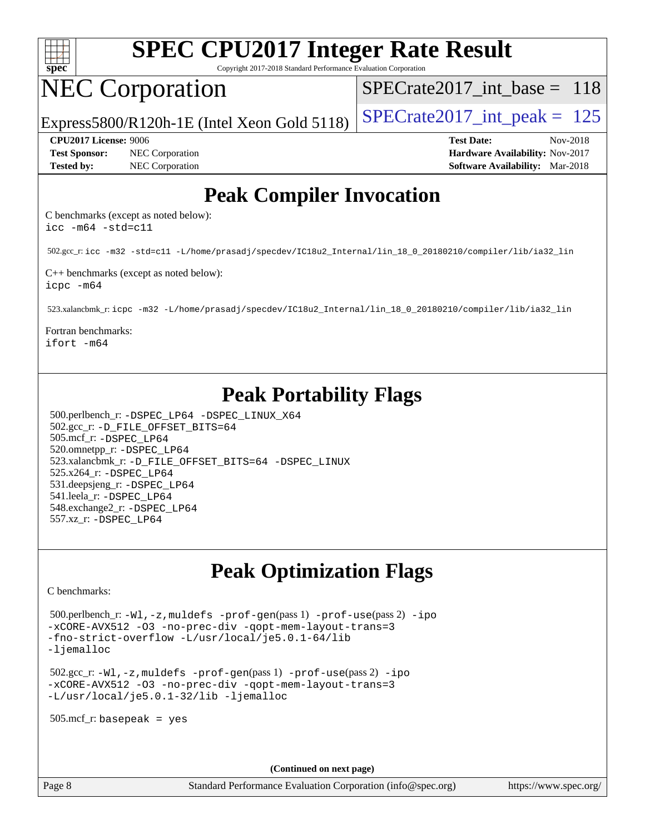

Copyright 2017-2018 Standard Performance Evaluation Corporation

## NEC Corporation

[SPECrate2017\\_int\\_base =](http://www.spec.org/auto/cpu2017/Docs/result-fields.html#SPECrate2017intbase) 118

Express5800/R120h-1E (Intel Xeon Gold 5118)  $\left|$  [SPECrate2017\\_int\\_peak =](http://www.spec.org/auto/cpu2017/Docs/result-fields.html#SPECrate2017intpeak) 125

**[Test Sponsor:](http://www.spec.org/auto/cpu2017/Docs/result-fields.html#TestSponsor)** NEC Corporation **[Hardware Availability:](http://www.spec.org/auto/cpu2017/Docs/result-fields.html#HardwareAvailability)** Nov-2017

**[CPU2017 License:](http://www.spec.org/auto/cpu2017/Docs/result-fields.html#CPU2017License)** 9006 **[Test Date:](http://www.spec.org/auto/cpu2017/Docs/result-fields.html#TestDate)** Nov-2018 **[Tested by:](http://www.spec.org/auto/cpu2017/Docs/result-fields.html#Testedby)** NEC Corporation **[Software Availability:](http://www.spec.org/auto/cpu2017/Docs/result-fields.html#SoftwareAvailability)** Mar-2018

## **[Peak Compiler Invocation](http://www.spec.org/auto/cpu2017/Docs/result-fields.html#PeakCompilerInvocation)**

[C benchmarks \(except as noted below\)](http://www.spec.org/auto/cpu2017/Docs/result-fields.html#Cbenchmarksexceptasnotedbelow): [icc -m64 -std=c11](http://www.spec.org/cpu2017/results/res2018q4/cpu2017-20181210-10051.flags.html#user_CCpeak_intel_icc_64bit_c11_33ee0cdaae7deeeab2a9725423ba97205ce30f63b9926c2519791662299b76a0318f32ddfffdc46587804de3178b4f9328c46fa7c2b0cd779d7a61945c91cd35)

502.gcc\_r: [icc -m32 -std=c11 -L/home/prasadj/specdev/IC18u2\\_Internal/lin\\_18\\_0\\_20180210/compiler/lib/ia32\\_lin](http://www.spec.org/cpu2017/results/res2018q4/cpu2017-20181210-10051.flags.html#user_peakCCLD502_gcc_r_intel_icc_a481ac844e7127046fad14d498c730a1848fa901fbbb2c3dfdd5e9fbbac777c8009953946d55d8b6afe8ed0da70dd2b4f8dedbdf7ab1ee211ba70d24a5d89f85)

[C++ benchmarks \(except as noted below\):](http://www.spec.org/auto/cpu2017/Docs/result-fields.html#CXXbenchmarksexceptasnotedbelow) [icpc -m64](http://www.spec.org/cpu2017/results/res2018q4/cpu2017-20181210-10051.flags.html#user_CXXpeak_intel_icpc_64bit_4ecb2543ae3f1412ef961e0650ca070fec7b7afdcd6ed48761b84423119d1bf6bdf5cad15b44d48e7256388bc77273b966e5eb805aefd121eb22e9299b2ec9d9)

523.xalancbmk\_r: [icpc -m32 -L/home/prasadj/specdev/IC18u2\\_Internal/lin\\_18\\_0\\_20180210/compiler/lib/ia32\\_lin](http://www.spec.org/cpu2017/results/res2018q4/cpu2017-20181210-10051.flags.html#user_peakCXXLD523_xalancbmk_r_intel_icpc_c6d030cd79af6ea7d6fb64c57e8fe7ae8fe0b96fc5a3b3f4a10e3273b3d7fa9decd8263f6330cef23f751cb093a69fae84a2bf4c243500a8eed069248128076f)

[Fortran benchmarks:](http://www.spec.org/auto/cpu2017/Docs/result-fields.html#Fortranbenchmarks) [ifort -m64](http://www.spec.org/cpu2017/results/res2018q4/cpu2017-20181210-10051.flags.html#user_FCpeak_intel_ifort_64bit_24f2bb282fbaeffd6157abe4f878425411749daecae9a33200eee2bee2fe76f3b89351d69a8130dd5949958ce389cf37ff59a95e7a40d588e8d3a57e0c3fd751)

## **[Peak Portability Flags](http://www.spec.org/auto/cpu2017/Docs/result-fields.html#PeakPortabilityFlags)**

 500.perlbench\_r: [-DSPEC\\_LP64](http://www.spec.org/cpu2017/results/res2018q4/cpu2017-20181210-10051.flags.html#b500.perlbench_r_peakPORTABILITY_DSPEC_LP64) [-DSPEC\\_LINUX\\_X64](http://www.spec.org/cpu2017/results/res2018q4/cpu2017-20181210-10051.flags.html#b500.perlbench_r_peakCPORTABILITY_DSPEC_LINUX_X64) 502.gcc\_r: [-D\\_FILE\\_OFFSET\\_BITS=64](http://www.spec.org/cpu2017/results/res2018q4/cpu2017-20181210-10051.flags.html#user_peakPORTABILITY502_gcc_r_file_offset_bits_64_5ae949a99b284ddf4e95728d47cb0843d81b2eb0e18bdfe74bbf0f61d0b064f4bda2f10ea5eb90e1dcab0e84dbc592acfc5018bc955c18609f94ddb8d550002c) 505.mcf\_r: [-DSPEC\\_LP64](http://www.spec.org/cpu2017/results/res2018q4/cpu2017-20181210-10051.flags.html#suite_peakPORTABILITY505_mcf_r_DSPEC_LP64) 520.omnetpp\_r: [-DSPEC\\_LP64](http://www.spec.org/cpu2017/results/res2018q4/cpu2017-20181210-10051.flags.html#suite_peakPORTABILITY520_omnetpp_r_DSPEC_LP64) 523.xalancbmk\_r: [-D\\_FILE\\_OFFSET\\_BITS=64](http://www.spec.org/cpu2017/results/res2018q4/cpu2017-20181210-10051.flags.html#user_peakPORTABILITY523_xalancbmk_r_file_offset_bits_64_5ae949a99b284ddf4e95728d47cb0843d81b2eb0e18bdfe74bbf0f61d0b064f4bda2f10ea5eb90e1dcab0e84dbc592acfc5018bc955c18609f94ddb8d550002c) [-DSPEC\\_LINUX](http://www.spec.org/cpu2017/results/res2018q4/cpu2017-20181210-10051.flags.html#b523.xalancbmk_r_peakCXXPORTABILITY_DSPEC_LINUX) 525.x264\_r: [-DSPEC\\_LP64](http://www.spec.org/cpu2017/results/res2018q4/cpu2017-20181210-10051.flags.html#suite_peakPORTABILITY525_x264_r_DSPEC_LP64) 531.deepsjeng\_r: [-DSPEC\\_LP64](http://www.spec.org/cpu2017/results/res2018q4/cpu2017-20181210-10051.flags.html#suite_peakPORTABILITY531_deepsjeng_r_DSPEC_LP64) 541.leela\_r: [-DSPEC\\_LP64](http://www.spec.org/cpu2017/results/res2018q4/cpu2017-20181210-10051.flags.html#suite_peakPORTABILITY541_leela_r_DSPEC_LP64) 548.exchange2\_r: [-DSPEC\\_LP64](http://www.spec.org/cpu2017/results/res2018q4/cpu2017-20181210-10051.flags.html#suite_peakPORTABILITY548_exchange2_r_DSPEC_LP64) 557.xz\_r: [-DSPEC\\_LP64](http://www.spec.org/cpu2017/results/res2018q4/cpu2017-20181210-10051.flags.html#suite_peakPORTABILITY557_xz_r_DSPEC_LP64)

## **[Peak Optimization Flags](http://www.spec.org/auto/cpu2017/Docs/result-fields.html#PeakOptimizationFlags)**

[C benchmarks](http://www.spec.org/auto/cpu2017/Docs/result-fields.html#Cbenchmarks):

 500.perlbench\_r: [-Wl,-z,muldefs](http://www.spec.org/cpu2017/results/res2018q4/cpu2017-20181210-10051.flags.html#user_peakEXTRA_LDFLAGS500_perlbench_r_link_force_multiple1_b4cbdb97b34bdee9ceefcfe54f4c8ea74255f0b02a4b23e853cdb0e18eb4525ac79b5a88067c842dd0ee6996c24547a27a4b99331201badda8798ef8a743f577) [-prof-gen](http://www.spec.org/cpu2017/results/res2018q4/cpu2017-20181210-10051.flags.html#user_peakPASS1_CFLAGSPASS1_LDFLAGS500_perlbench_r_prof_gen_5aa4926d6013ddb2a31985c654b3eb18169fc0c6952a63635c234f711e6e63dd76e94ad52365559451ec499a2cdb89e4dc58ba4c67ef54ca681ffbe1461d6b36)(pass 1) [-prof-use](http://www.spec.org/cpu2017/results/res2018q4/cpu2017-20181210-10051.flags.html#user_peakPASS2_CFLAGSPASS2_LDFLAGS500_perlbench_r_prof_use_1a21ceae95f36a2b53c25747139a6c16ca95bd9def2a207b4f0849963b97e94f5260e30a0c64f4bb623698870e679ca08317ef8150905d41bd88c6f78df73f19)(pass 2) [-ipo](http://www.spec.org/cpu2017/results/res2018q4/cpu2017-20181210-10051.flags.html#user_peakPASS1_COPTIMIZEPASS2_COPTIMIZE500_perlbench_r_f-ipo) [-xCORE-AVX512](http://www.spec.org/cpu2017/results/res2018q4/cpu2017-20181210-10051.flags.html#user_peakPASS2_COPTIMIZE500_perlbench_r_f-xCORE-AVX512) [-O3](http://www.spec.org/cpu2017/results/res2018q4/cpu2017-20181210-10051.flags.html#user_peakPASS1_COPTIMIZEPASS2_COPTIMIZE500_perlbench_r_f-O3) [-no-prec-div](http://www.spec.org/cpu2017/results/res2018q4/cpu2017-20181210-10051.flags.html#user_peakPASS1_COPTIMIZEPASS2_COPTIMIZE500_perlbench_r_f-no-prec-div) [-qopt-mem-layout-trans=3](http://www.spec.org/cpu2017/results/res2018q4/cpu2017-20181210-10051.flags.html#user_peakPASS1_COPTIMIZEPASS2_COPTIMIZE500_perlbench_r_f-qopt-mem-layout-trans_de80db37974c74b1f0e20d883f0b675c88c3b01e9d123adea9b28688d64333345fb62bc4a798493513fdb68f60282f9a726aa07f478b2f7113531aecce732043) [-fno-strict-overflow](http://www.spec.org/cpu2017/results/res2018q4/cpu2017-20181210-10051.flags.html#user_peakEXTRA_OPTIMIZE500_perlbench_r_f-fno-strict-overflow) [-L/usr/local/je5.0.1-64/lib](http://www.spec.org/cpu2017/results/res2018q4/cpu2017-20181210-10051.flags.html#user_peakEXTRA_LIBS500_perlbench_r_jemalloc_link_path64_4b10a636b7bce113509b17f3bd0d6226c5fb2346b9178c2d0232c14f04ab830f976640479e5c33dc2bcbbdad86ecfb6634cbbd4418746f06f368b512fced5394) [-ljemalloc](http://www.spec.org/cpu2017/results/res2018q4/cpu2017-20181210-10051.flags.html#user_peakEXTRA_LIBS500_perlbench_r_jemalloc_link_lib_d1249b907c500fa1c0672f44f562e3d0f79738ae9e3c4a9c376d49f265a04b9c99b167ecedbf6711b3085be911c67ff61f150a17b3472be731631ba4d0471706)

 502.gcc\_r: [-Wl,-z,muldefs](http://www.spec.org/cpu2017/results/res2018q4/cpu2017-20181210-10051.flags.html#user_peakEXTRA_LDFLAGS502_gcc_r_link_force_multiple1_b4cbdb97b34bdee9ceefcfe54f4c8ea74255f0b02a4b23e853cdb0e18eb4525ac79b5a88067c842dd0ee6996c24547a27a4b99331201badda8798ef8a743f577) [-prof-gen](http://www.spec.org/cpu2017/results/res2018q4/cpu2017-20181210-10051.flags.html#user_peakPASS1_CFLAGSPASS1_LDFLAGS502_gcc_r_prof_gen_5aa4926d6013ddb2a31985c654b3eb18169fc0c6952a63635c234f711e6e63dd76e94ad52365559451ec499a2cdb89e4dc58ba4c67ef54ca681ffbe1461d6b36)(pass 1) [-prof-use](http://www.spec.org/cpu2017/results/res2018q4/cpu2017-20181210-10051.flags.html#user_peakPASS2_CFLAGSPASS2_LDFLAGS502_gcc_r_prof_use_1a21ceae95f36a2b53c25747139a6c16ca95bd9def2a207b4f0849963b97e94f5260e30a0c64f4bb623698870e679ca08317ef8150905d41bd88c6f78df73f19)(pass 2) [-ipo](http://www.spec.org/cpu2017/results/res2018q4/cpu2017-20181210-10051.flags.html#user_peakPASS1_COPTIMIZEPASS2_COPTIMIZE502_gcc_r_f-ipo) [-xCORE-AVX512](http://www.spec.org/cpu2017/results/res2018q4/cpu2017-20181210-10051.flags.html#user_peakPASS2_COPTIMIZE502_gcc_r_f-xCORE-AVX512) [-O3](http://www.spec.org/cpu2017/results/res2018q4/cpu2017-20181210-10051.flags.html#user_peakPASS1_COPTIMIZEPASS2_COPTIMIZE502_gcc_r_f-O3) [-no-prec-div](http://www.spec.org/cpu2017/results/res2018q4/cpu2017-20181210-10051.flags.html#user_peakPASS1_COPTIMIZEPASS2_COPTIMIZE502_gcc_r_f-no-prec-div) [-qopt-mem-layout-trans=3](http://www.spec.org/cpu2017/results/res2018q4/cpu2017-20181210-10051.flags.html#user_peakPASS1_COPTIMIZEPASS2_COPTIMIZE502_gcc_r_f-qopt-mem-layout-trans_de80db37974c74b1f0e20d883f0b675c88c3b01e9d123adea9b28688d64333345fb62bc4a798493513fdb68f60282f9a726aa07f478b2f7113531aecce732043) [-L/usr/local/je5.0.1-32/lib](http://www.spec.org/cpu2017/results/res2018q4/cpu2017-20181210-10051.flags.html#user_peakEXTRA_LIBS502_gcc_r_jemalloc_link_path32_e29f22e8e6c17053bbc6a0971f5a9c01a601a06bb1a59df2084b77a2fe0a2995b64fd4256feaeea39eeba3aae142e96e2b2b0a28974019c0c0c88139a84f900a) [-ljemalloc](http://www.spec.org/cpu2017/results/res2018q4/cpu2017-20181210-10051.flags.html#user_peakEXTRA_LIBS502_gcc_r_jemalloc_link_lib_d1249b907c500fa1c0672f44f562e3d0f79738ae9e3c4a9c376d49f265a04b9c99b167ecedbf6711b3085be911c67ff61f150a17b3472be731631ba4d0471706)

505.mcf\_r: basepeak = yes

**(Continued on next page)**

Page 8 Standard Performance Evaluation Corporation [\(info@spec.org\)](mailto:info@spec.org) <https://www.spec.org/>